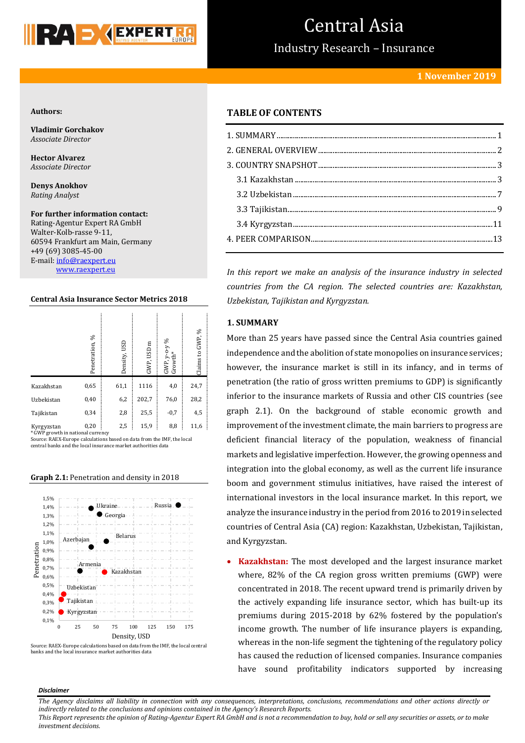

## Central Asia

Industry Research – Insurance

## **1 November 2019**

## **Authors:**

**Vladimir Gorchakov** *Associate Director*

**Hector Alvarez** *Associate Director*

**Denys Anokhov** *Rating Analyst*

**For further information contact:** Rating-Agentur Expert RA GmbH Walter-Kolb-rasse 9-11, 60594 Frankfurt am Main, Germany +49 (69) 3085-45-00 E-mail[: info@raexpert.eu](mailto:info@raexpert.eu) [www.raexpert.eu](http://raexpert.eu/)

## **Central Asia Insurance Sector Metrics 2018**

|                                                 | Penetration, % | Density, USD | GWP, USD m | వ<br>$GWP, y\text{-}o\text{-}y$<br>Growth* | GWP, %<br>$\boldsymbol{\mathsf{s}}$<br>Claims |
|-------------------------------------------------|----------------|--------------|------------|--------------------------------------------|-----------------------------------------------|
| Kazakhstan                                      | 0.65           | 61,1         | 1116       | 4,0                                        | 24,7                                          |
| Uzbekistan                                      | 0,40           | 6,2          | 202,7      | 76,0                                       | 28,2                                          |
| Tajikistan                                      | 0,34           | 2,8          | 25,5       | $-0,7$                                     | 4,5                                           |
| Kyrgyzstan<br>* GWP growth in national currency | 0,20           | 2,5          | 15,9       | 8,8                                        | 11,6                                          |

Source: RAEX-Europe calculations based on data from the IMF, the local central banks and the local insurance market authorities data

#### **Graph 2.1:** Penetration and density in 2018





## **TABLE OF CONTENTS**

*In this report we make an analysis of the insurance industry in selected countries from the CA region. The selected countries are: Kazakhstan, Uzbekistan, Tajikistan and Kyrgyzstan.*

## <span id="page-0-0"></span>**1. SUMMARY**

More than 25 years have passed since the Central Asia countries gained independence and the abolition of state monopolies on insurance services; however, the insurance market is still in its infancy, and in terms of penetration (the ratio of gross written premiums to GDP) is significantly inferior to the insurance markets of Russia and other CIS countries (see graph 2.1). On the background of stable economic growth and improvement of the investment climate, the main barriers to progress are deficient financial literacy of the population, weakness of financial markets and legislative imperfection. However, the growing openness and integration into the global economy, as well as the current life insurance boom and government stimulus initiatives, have raised the interest of international investors in the local insurance market. In this report, we analyze the insurance industry in the period from 2016 to 2019 in selected countries of Central Asia (CA) region: Kazakhstan, Uzbekistan, Tajikistan, and Kyrgyzstan.

 **Kazakhstan:** The most developed and the largest insurance market where, 82% of the CA region gross written premiums (GWP) were concentrated in 2018. The recent upward trend is primarily driven by the actively expanding life insurance sector, which has built-up its premiums during 2015-2018 by 62% fostered by the population's income growth. The number of life insurance players is expanding, whereas in the non-life segment the tightening of the regulatory policy has caused the reduction of licensed companies. Insurance companies have sound profitability indicators supported by increasing

#### *Disclaimer*

*The Agency disclaims all liability in connection with any consequences, interpretations, conclusions, recommendations and other actions directly or indirectly related to the conclusions and opinions contained in the Agency's Research Reports. This Report represents the opinion of Rating-Agentur Expert RA GmbH and is not a recommendation to buy, hold or sell any securities or assets, or to make* 

*investment decisions.*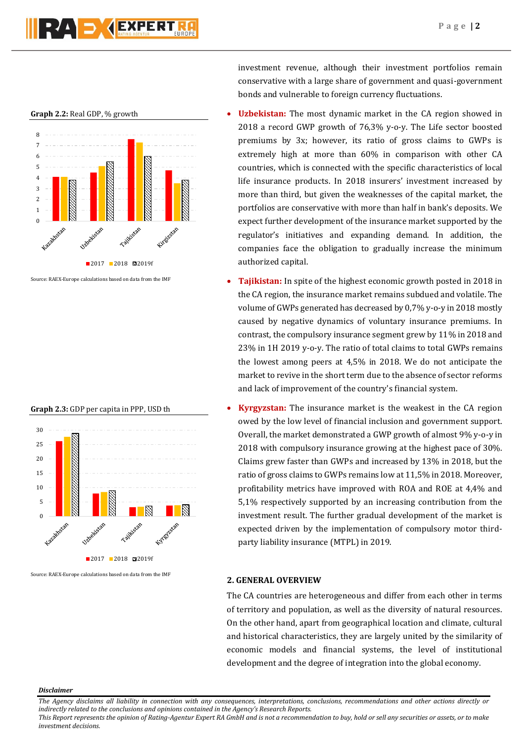## **NAEXPERT**





Source: RAEX-Europe calculations based on data from the IMF

**Graph 2.3:** GDP per capita in PPP, USD th



Source: RAEX-Europe calculations based on data from the IMF

investment revenue, although their investment portfolios remain conservative with a large share of government and quasi-government bonds and vulnerable to foreign currency fluctuations.

- **Uzbekistan:** The most dynamic market in the CA region showed in 2018 a record GWP growth of 76,3% y-o-y. The Life sector boosted premiums by 3x; however, its ratio of gross claims to GWPs is extremely high at more than 60% in comparison with other CA countries, which is connected with the specific characteristics of local life insurance products. In 2018 insurers' investment increased by more than third, but given the weaknesses of the capital market, the portfolios are conservative with more than half in bank's deposits. We expect further development of the insurance market supported by the regulator's initiatives and expanding demand. In addition, the companies face the obligation to gradually increase the minimum authorized capital.
- **Tajikistan:** In spite of the highest economic growth posted in 2018 in the CA region, the insurance market remains subdued and volatile. The volume of GWPs generated has decreased by 0,7% y-o-y in 2018 mostly caused by negative dynamics of voluntary insurance premiums. In contrast, the compulsory insurance segment grew by 11% in 2018 and 23% in 1H 2019 y-o-y. The ratio of total claims to total GWPs remains the lowest among peers at 4,5% in 2018. We do not anticipate the market to revive in the short term due to the absence of sector reforms and lack of improvement of the country's financial system.
- **Kyrgyzstan:** The insurance market is the weakest in the CA region owed by the low level of financial inclusion and government support. Overall, the market demonstrated a GWP growth of almost 9% y-o-y in 2018 with compulsory insurance growing at the highest pace of 30%. Claims grew faster than GWPs and increased by 13% in 2018, but the ratio of gross claims to GWPs remains low at 11,5% in 2018. Moreover, profitability metrics have improved with ROA and ROE at 4,4% and 5,1% respectively supported by an increasing contribution from the investment result. The further gradual development of the market is expected driven by the implementation of compulsory motor thirdparty liability insurance (MTPL) in 2019.

## **2. GENERAL OVERVIEW**

The CA countries are heterogeneous and differ from each other in terms of territory and population, as well as the diversity of natural resources. On the other hand, apart from geographical location and climate, cultural and historical characteristics, they are largely united by the similarity of economic models and financial systems, the level of institutional development and the degree of integration into the global economy.

#### *Disclaimer*

*The Agency disclaims all liability in connection with any consequences, interpretations, conclusions, recommendations and other actions directly or indirectly related to the conclusions and opinions contained in the Agency's Research Reports.*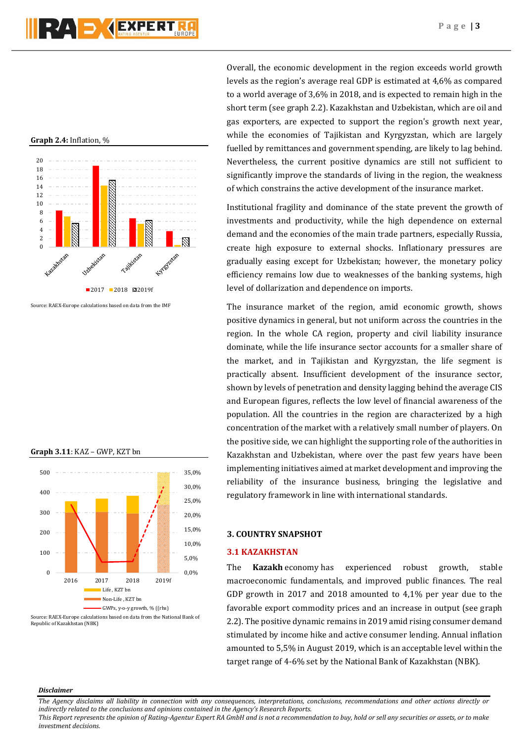## **Graph 2.4:** Inflation, %



Source: RAEX-Europe calculations based on data from the IMF

#### **Graph 3.11**: KAZ – GWP, KZT bn



Overall, the economic development in the region exceeds world growth levels as the region's average real GDP is estimated at 4,6% as compared to a world average of 3,6% in 2018, and is expected to remain high in the short term (see graph 2.2). Kazakhstan and Uzbekistan, which are oil and gas exporters, are expected to support the region's growth next year, while the economies of Tajikistan and Kyrgyzstan, which are largely fuelled by remittances and government spending, are likely to lag behind. Nevertheless, the current positive dynamics are still not sufficient to significantly improve the standards of living in the region, the weakness of which constrains the active development of the insurance market.

Institutional fragility and dominance of the state prevent the growth of investments and productivity, while the high dependence on external demand and the economies of the main trade partners, especially Russia, create high exposure to external shocks. Inflationary pressures are gradually easing except for Uzbekistan; however, the monetary policy efficiency remains low due to weaknesses of the banking systems, high level of dollarization and dependence on imports.

The insurance market of the region, amid economic growth, shows positive dynamics in general, but not uniform across the countries in the region. In the whole CA region, property and civil liability insurance dominate, while the life insurance sector accounts for a smaller share of the market, and in Tajikistan and Kyrgyzstan, the life segment is practically absent. Insufficient development of the insurance sector, shown by levels of penetration and density lagging behind the average СIS and European figures, reflects the low level of financial awareness of the population. All the countries in the region are characterized by a high concentration of the market with a relatively small number of players. On the positive side, we can highlight the supporting role of the authorities in Kazakhstan and Uzbekistan, where over the past few years have been implementing initiatives aimed at market development and improving the reliability of the insurance business, bringing the legislative and regulatory framework in line with international standards.

#### **3. COUNTRY SNAPSHOT**

## **3.1 KAZAKHSTAN**

The **Kazakh** economy has experienced robust growth, stable macroeconomic fundamentals, and improved public finances. The real GDP growth in 2017 and 2018 amounted to 4,1% per year due to the favorable export commodity prices and an increase in output (see graph 2.2). The positive dynamic remains in 2019 amid rising consumer demand stimulated by income hike and active consumer lending. Annual inflation amounted to 5,5% in August 2019, which is an acceptable level within the target range of 4-6% set by the National Bank of Kazakhstan (NBK).

#### *Disclaimer*

*The Agency disclaims all liability in connection with any consequences, interpretations, conclusions, recommendations and other actions directly or indirectly related to the conclusions and opinions contained in the Agency's Research Reports.*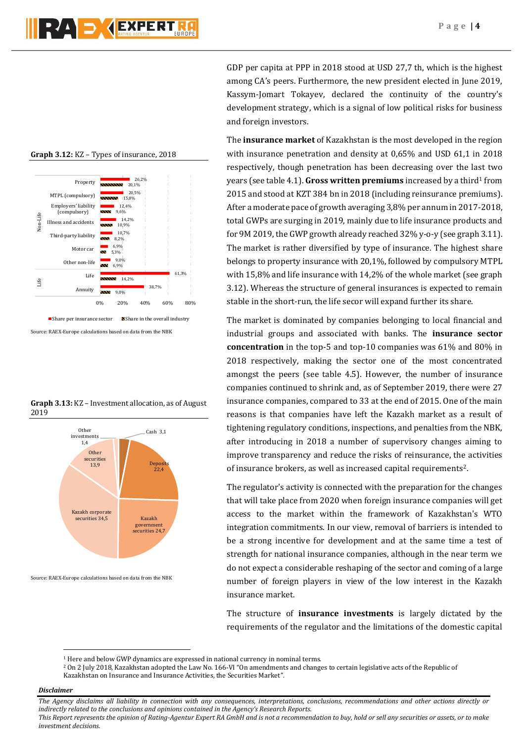26,2% Property **20,1%** 20,5% MTPL (compulsory)  $15,8%$ Employers' liability 12,4% (compulsory) 9,6% Non-Life Life Non-Life 14,2% Illness and accidents 10,9% 10,7% Third-party liability 8,2% 6,9% Motor car 그 5,3%  $9.0%$ Other non-life 5 6,9% 61,3% Life **STATISTICS** 14,2% Life 38,7% Annuity 9,0% 0% 20% 40% 60% 80%  $\blacksquare$  Share per insurance sector  $\blacksquare$  Share in the overall industry

**Graph 3.12:** KZ – Types of insurance, 2018

Source: RAEX-Europe calculations based on data from the NBK

**Graph 3.13:** KZ – Investment allocation, as of August 2019



Source: RAEX-Europe calculations based on data from the NBK

GDP per capita at PPP in 2018 stood at USD 27,7 th, which is the highest among CA's peers. Furthermore, the new president elected in June 2019, Kassym-Jomart Tokayev, declared the continuity of the country's development strategy, which is a signal of low political risks for business and foreign investors.

The **insurance market** of Kazakhstan is the most developed in the region with insurance penetration and density at 0,65% and USD 61,1 in 2018 respectively, though penetration has been decreasing over the last two years (see table 4.1). **Gross written premiums** increased by a third<sup>1</sup> from 2015 and stood at KZT 384 bn in 2018 (including reinsurance premiums). After a moderate pace of growth averaging 3,8% per annum in 2017-2018, total GWPs are surging in 2019, mainly due to life insurance products and for 9M 2019, the GWP growth already reached 32% y-o-y (see graph 3.11). The market is rather diversified by type of insurance. The highest share belongs to property insurance with 20,1%, followed by compulsory MTPL with 15,8% and life insurance with 14,2% of the whole market (see graph 3.12). Whereas the structure of general insurances is expected to remain stable in the short-run, the life secor will expand further its share.

The market is dominated by companies belonging to local financial and industrial groups and associated with banks. The **insurance sector concentration** in the top-5 and top-10 companies was 61% and 80% in 2018 respectively, making the sector one of the most concentrated amongst the peers (see table 4.5). However, the number of insurance companies continued to shrink and, as of September 2019, there were 27 insurance companies, compared to 33 at the end of 2015. One of the main reasons is that companies have left the Kazakh market as a result of tightening regulatory conditions, inspections, and penalties from the NBK, after introducing in 2018 a number of supervisory changes aiming to improve transparency and reduce the risks of reinsurance, the activities of insurance brokers, as well as increased capital requirements2.

The regulator's activity is connected with the preparation for the changes that will take place from 2020 when foreign insurance companies will get access to the market within the framework of Kazakhstan's WTO integration commitments. In our view, removal of barriers is intended to be a strong incentive for development and at the same time a test of strength for national insurance companies, although in the near term we do not expect a considerable reshaping of the sector and coming of a large number of foreign players in view of the low interest in the Kazakh insurance market.

The structure of **insurance investments** is largely dictated by the requirements of the regulator and the limitations of the domestic capital

## *Disclaimer*

1

<sup>&</sup>lt;sup>1</sup> Here and below GWP dynamics are expressed in national currency in nominal terms.

<sup>2</sup> On 2 July 2018, Kazakhstan adopted the Law No. 166-VI "On amendments and changes to certain legislative acts of the Republic of Kazakhstan on Insurance and Insurance Activities, the Securities Market".

*The Agency disclaims all liability in connection with any consequences, interpretations, conclusions, recommendations and other actions directly or indirectly related to the conclusions and opinions contained in the Agency's Research Reports.*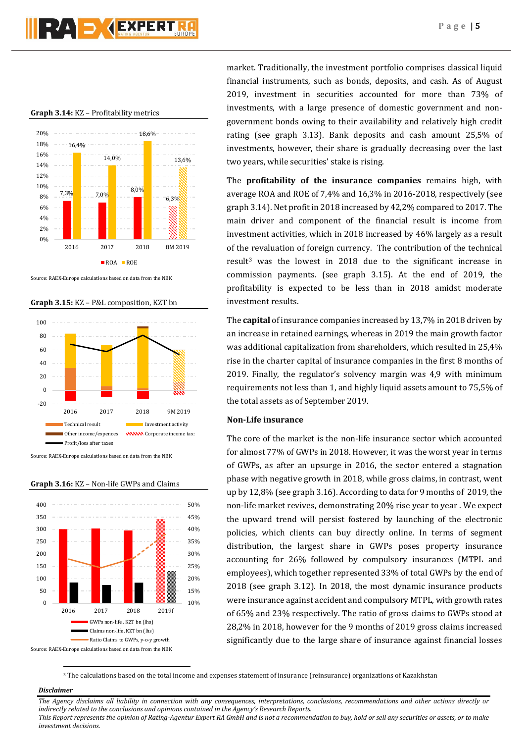## **RAD GEXPERT**

#### **Graph 3.14:** KZ – Profitability metrics



Source: RAEX-Europe calculations based on data from the NBK

**Graph 3.15:** KZ – P&L composition, KZT bn



Source: RAEX-Europe calculations based on data from the NBK



## **Graph 3.16:** KZ – Non-life GWPs and Claims

market. Traditionally, the investment portfolio comprises classical liquid financial instruments, such as bonds, deposits, and cash. As of August 2019, investment in securities accounted for more than 73% of investments, with a large presence of domestic government and nongovernment bonds owing to their availability and relatively high credit rating (see graph 3.13). Bank deposits and cash amount 25,5% of investments, however, their share is gradually decreasing over the last two years, while securities' stake is rising.

The **profitability of the insurance companies** remains high, with average ROA and ROE of 7,4% and 16,3% in 2016-2018, respectively (see graph 3.14). Net profit in 2018 increased by 42,2% compared to 2017. The main driver and component of the financial result is income from investment activities, which in 2018 increased by 46% largely as a result of the revaluation of foreign currency. The contribution of the technical result<sup>3</sup> was the lowest in 2018 due to the significant increase in commission payments. (see graph 3.15). At the end of 2019, the profitability is expected to be less than in 2018 amidst moderate investment results.

The **capital** of insurance companies increased by 13,7% in 2018 driven by an increase in retained earnings, whereas in 2019 the main growth factor was additional capitalization from shareholders, which resulted in 25,4% rise in the charter capital of insurance companies in the first 8 months of 2019. Finally, the regulator's solvency margin was 4,9 with minimum requirements not less than 1, and highly liquid assets amount to 75,5% of the total assets as of September 2019.

## **Non-Life insurance**

The core of the market is the non-life insurance sector which accounted for almost 77% of GWPs in 2018. However, it was the worst year in terms of GWPs, as after an upsurge in 2016, the sector entered a stagnation phase with negative growth in 2018, while gross claims, in contrast, went up by 12,8% (see graph 3.16). According to data for 9 months of 2019, the non-life market revives, demonstrating 20% rise year to year . We expect the upward trend will persist fostered by launching of the electronic policies, which clients can buy directly online. In terms of segment distribution, the largest share in GWPs poses property insurance accounting for 26% followed by compulsory insurances (MTPL and employees), which together represented 33% of total GWPs by the end of 2018 (see graph 3.12). In 2018, the most dynamic insurance products were insurance against accident and compulsory MTPL, with growth rates of 65% and 23% respectively. The ratio of gross claims to GWPs stood at 28,2% in 2018, however for the 9 months of 2019 gross claims increased significantly due to the large share of insurance against financial losses

<sup>3</sup> The calculations based on the total income and expenses statement of insurance (reinsurance) organizations of Kazakhstan

#### *Disclaimer*

1

*The Agency disclaims all liability in connection with any consequences, interpretations, conclusions, recommendations and other actions directly or indirectly related to the conclusions and opinions contained in the Agency's Research Reports. This Report represents the opinion of Rating-Agentur Expert RA GmbH and is not a recommendation to buy, hold or sell any securities or assets, or to make investment decisions.*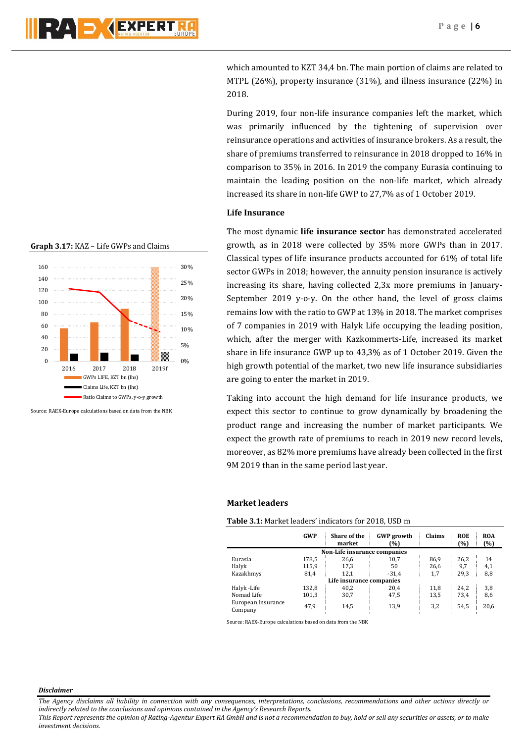which amounted to KZT 34,4 bn. The main portion of claims are related to MTPL (26%), property insurance (31%), and illness insurance (22%) in 2018.

During 2019, four non-life insurance companies left the market, which was primarily influenced by the tightening of supervision over reinsurance operations and activities of insurance brokers. As a result, the share of premiums transferred to reinsurance in 2018 dropped to 16% in comparison to 35% in 2016. In 2019 the company Eurasia continuing to maintain the leading position on the non-life market, which already increased its share in non-life GWP to 27,7% as of 1 October 2019.

## **Life Insurance**

The most dynamic **life insurance sector** has demonstrated accelerated growth, as in 2018 were collected by 35% more GWPs than in 2017. Classical types of life insurance products accounted for 61% of total life sector GWPs in 2018; however, the annuity pension insurance is actively increasing its share, having collected 2,3x more premiums in January-September 2019 y-o-y. On the other hand, the level of gross claims remains low with the ratio to GWP at 13% in 2018. The market comprises of 7 companies in 2019 with Halyk Life occupying the leading position, which, after the merger with Kazkommerts-Life, increased its market share in life insurance GWP up to 43,3% as of 1 October 2019. Given the high growth potential of the market, two new life insurance subsidiaries are going to enter the market in 2019.

Taking into account the high demand for life insurance products, we expect this sector to continue to grow dynamically by broadening the product range and increasing the number of market participants. We expect the growth rate of premiums to reach in 2019 new record levels, moreover, as 82% more premiums have already been collected in the first 9M 2019 than in the same period last year.

## **Market leaders**

**Table 3.1:** Market leaders' indicators for 2018, USD m

|                               | <b>GWP</b>                   | <b>Share of the</b><br>market | <b>GWP</b> growth<br>(%) | Claims | <b>ROE</b><br>(%) | <b>ROA</b><br>(%) |  |  |  |  |
|-------------------------------|------------------------------|-------------------------------|--------------------------|--------|-------------------|-------------------|--|--|--|--|
|                               | Non-Life insurance companies |                               |                          |        |                   |                   |  |  |  |  |
| Eurasia                       | 178,5                        | 26,6                          | 10.7                     | 86,9   | 26,2              | 14                |  |  |  |  |
| Halyk                         | 115,9                        | 17,3                          | 50                       | 26,6   | 9,7               | 4,1               |  |  |  |  |
| Kazakhmys                     | 81,4                         | 12,1                          | $-31.4$                  | 1,7    | 29,3              | 8,8               |  |  |  |  |
|                               |                              | Life insurance companies      |                          |        |                   |                   |  |  |  |  |
| Halyk-Life                    | 132,8                        | 40,2                          | 20,4                     | 11,8   | 24,2              | 3,8               |  |  |  |  |
| Nomad Life                    | 101,3                        | 30,7                          | 47,5                     | 13,5   | 73,4              | 8,6               |  |  |  |  |
| European Insurance<br>Company | 47,9                         | 14,5                          | 13,9                     | 3,2    | 54,5              | 20,6              |  |  |  |  |

Source: RAEX-Europe calculations based on data from the NBK

**Graph 3.17:** KAZ – Life GWPs and Claims



Source: RAEX-Europe calculations based on data from the NBK

*Disclaimer* 

*The Agency disclaims all liability in connection with any consequences, interpretations, conclusions, recommendations and other actions directly or indirectly related to the conclusions and opinions contained in the Agency's Research Reports.*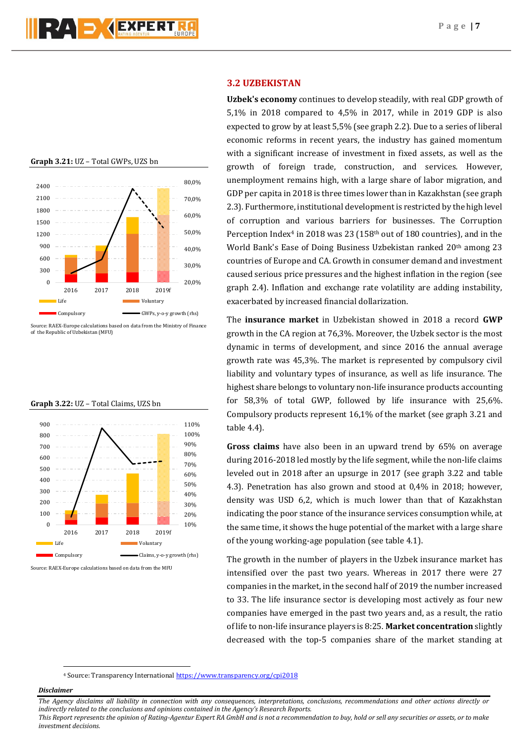



Source: RAEX-Europe calculations based on data from the Ministry of Finance of the Republic of Uzbekistan (MFU)





Source: RAEX-Europe calculations based on data from the MFU

## **3.2 UZBEKISTAN**

**Uzbek's economy** continues to develop steadily, with real GDP growth of 5,1% in 2018 compared to 4,5% in 2017, while in 2019 GDP is also expected to grow by at least 5,5% (see graph 2.2). Due to a series of liberal economic reforms in recent years, the industry has gained momentum with a significant increase of investment in fixed assets, as well as the growth of foreign trade, construction, and services. However, unemployment remains high, with a large share of labor migration, and GDP per capita in 2018 is three times lower than in Kazakhstan (see graph 2.3). Furthermore, institutional development is restricted by the high level of corruption and various barriers for businesses. The Corruption Perception Index<sup>4</sup> in 2018 was 23 (158<sup>th</sup> out of 180 countries), and in the World Bank's Ease of Doing Business Uzbekistan ranked 20<sup>th</sup> among 23 countries of Europe and CA. Growth in consumer demand and investment caused serious price pressures and the highest inflation in the region (see graph 2.4). Inflation and exchange rate volatility are adding instability, exacerbated by increased financial dollarization.

The **insurance market** in Uzbekistan showed in 2018 a record **GWP** growth in the CA region at 76,3%. Moreover, the Uzbek sector is the most dynamic in terms of development, and since 2016 the annual average growth rate was 45,3%. The market is represented by compulsory civil liability and voluntary types of insurance, as well as life insurance. The highest share belongs to voluntary non-life insurance products accounting for 58,3% of total GWP, followed by life insurance with 25,6%. Compulsory products represent 16,1% of the market (see graph 3.21 and table 4.4).

**Gross claims** have also been in an upward trend by 65% on average during 2016-2018 led mostly by the life segment, while the non-life claims leveled out in 2018 after an upsurge in 2017 (see graph 3.22 and table 4.3). Penetration has also grown and stood at 0,4% in 2018; however, density was USD 6,2, which is much lower than that of Kazakhstan indicating the poor stance of the insurance services consumption while, at the same time, it shows the huge potential of the market with a large share of the young working-age population (see table 4.1).

The growth in the number of players in the Uzbek insurance market has intensified over the past two years. Whereas in 2017 there were 27 companies in the market, in the second half of 2019 the number increased to 33. The life insurance sector is developing most actively as four new companies have emerged in the past two years and, as a result, the ratio of life to non-life insurance players is 8:25. **Market concentration** slightly decreased with the top-5 companies share of the market standing at

<sup>4</sup> Source: Transparency International <https://www.transparency.org/cpi2018>

#### *Disclaimer*

1

*The Agency disclaims all liability in connection with any consequences, interpretations, conclusions, recommendations and other actions directly or indirectly related to the conclusions and opinions contained in the Agency's Research Reports.*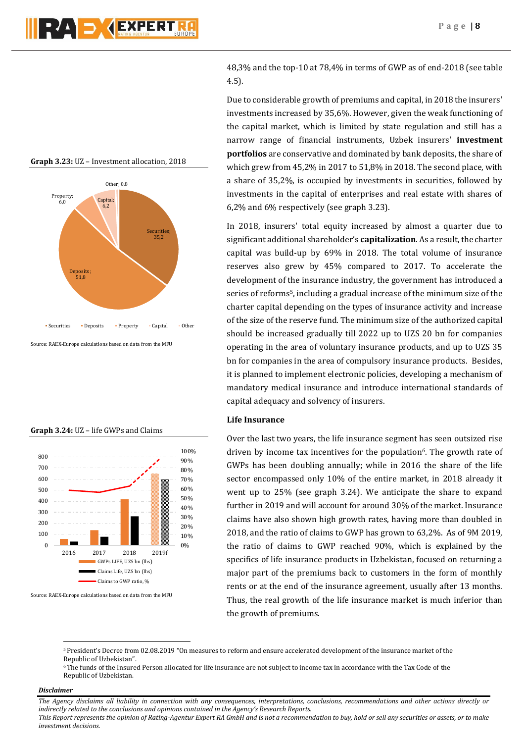## **Graph 3.23:** UZ – Investment allocation, 2018



Source: RAEX-Europe calculations based on data from the MFU



Source: RAEX-Europe calculations based on data from the MFU

48,3% and the top-10 at 78,4% in terms of GWP as of end-2018 (see table 4.5).

Due to considerable growth of premiums and capital, in 2018 the insurers' investments increased by 35,6%. However, given the weak functioning of the capital market, which is limited by state regulation and still has a narrow range of financial instruments, Uzbek insurers' **investment portfolios** are conservative and dominated by bank deposits, the share of which grew from 45,2% in 2017 to 51,8% in 2018. The second place, with a share of 35,2%, is occupied by investments in securities, followed by investments in the capital of enterprises and real estate with shares of 6,2% and 6% respectively (see graph 3.23).

In 2018, insurers' total equity increased by almost a quarter due to significant additional shareholder's **capitalization**. As a result, the charter capital was build-up by 69% in 2018. The total volume of insurance reserves also grew by 45% compared to 2017. To accelerate the development of the insurance industry, the government has introduced a series of reforms<sup>5</sup>, including a gradual increase of the minimum size of the charter capital depending on the types of insurance activity and increase of the size of the reserve fund. The minimum size of the authorized capital should be increased gradually till 2022 up to UZS 20 bn for companies operating in the area of voluntary insurance products, and up to UZS 35 bn for companies in the area of compulsory insurance products. Besides, it is planned to implement electronic policies, developing a mechanism of mandatory medical insurance and introduce international standards of capital adequacy and solvency of insurers.

## **Life Insurance**

Over the last two years, the life insurance segment has seen outsized rise driven by income tax incentives for the population<sup> $6$ </sup>. The growth rate of GWPs has been doubling annually; while in 2016 the share of the life sector encompassed only 10% of the entire market, in 2018 already it went up to 25% (see graph 3.24). We anticipate the share to expand further in 2019 and will account for around 30% of the market. Insurance claims have also shown high growth rates, having more than doubled in 2018, and the ratio of claims to GWP has grown to 63,2%. As of 9M 2019, the ratio of claims to GWP reached 90%, which is explained by the specifics of life insurance products in Uzbekistan, focused on returning a major part of the premiums back to customers in the form of monthly rents or at the end of the insurance agreement, usually after 13 months. Thus, the real growth of the life insurance market is much inferior than the growth of premiums.

#### *Disclaimer*

1

*The Agency disclaims all liability in connection with any consequences, interpretations, conclusions, recommendations and other actions directly or indirectly related to the conclusions and opinions contained in the Agency's Research Reports.*

*This Report represents the opinion of Rating-Agentur Expert RA GmbH and is not a recommendation to buy, hold or sell any securities or assets, or to make investment decisions.*

#### **Graph 3.24:** UZ – life GWPs and Claims

<sup>5</sup>President's Decree from 02.08.2019 "On measures to reform and ensure accelerated development of the insurance market of the Republic of Uzbekistan".

<sup>6</sup>The funds of the Insured Person allocated for life insurance are not subject to income tax in accordance with the Tax Code of the Republic of Uzbekistan.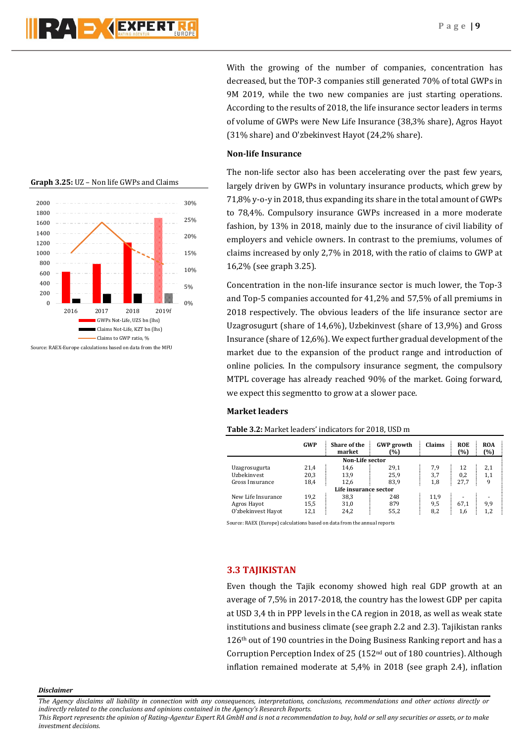



With the growing of the number of companies, concentration has decreased, but the TOP-3 companies still generated 70% of total GWPs in 9M 2019, while the two new companies are just starting operations. According to the results of 2018, the life insurance sector leaders in terms of volume of GWPs were New Life Insurance (38,3% share), Agros Hayot (31% share) and O'zbekinvest Hayot (24,2% share).

## **Non-life Insurance**

The non-life sector also has been accelerating over the past few years, largely driven by GWPs in voluntary insurance products, which grew by 71,8% y-o-y in 2018, thus expanding its share in the total amount of GWPs to 78,4%. Compulsory insurance GWPs increased in a more moderate fashion, by 13% in 2018, mainly due to the insurance of civil liability of employers and vehicle owners. In contrast to the premiums, volumes of claims increased by only 2,7% in 2018, with the ratio of claims to GWP at 16,2% (see graph 3.25).

Concentration in the non-life insurance sector is much lower, the Top-3 and Top-5 companies accounted for 41,2% and 57,5% of all premiums in 2018 respectively. The obvious leaders of the life insurance sector are Uzagrosugurt (share of 14,6%), Uzbekinvest (share of 13,9%) and Gross Insurance (share of 12,6%). We expect further gradual development of the market due to the expansion of the product range and introduction of online policies. In the compulsory insurance segment, the compulsory MTPL coverage has already reached 90% of the market. Going forward, we expect this segmentto to grow at a slower pace.

## **Market leaders**

## **Table 3.2:** Market leaders' indicators for 2018, USD m

|                    | GWP  | Share of the<br>market | <b>GWP</b> growth<br>(%) | Claims | <b>ROE</b><br>(%) | <b>ROA</b><br>(%) |
|--------------------|------|------------------------|--------------------------|--------|-------------------|-------------------|
|                    |      | Non-Life sector        |                          |        |                   |                   |
| Uzagrosugurta      | 21,4 | 14,6                   | 29,1                     | 7,9    | 12                | 2,1               |
| Uzbekinvest        | 20,3 | 13,9                   | 25,9                     | 3,7    | 0,2               | 1,1               |
| Gross Insurance    | 18,4 | 12.6                   | 83,9                     | 1,8    | 27.7              | 9                 |
|                    |      | Life insurance sector  |                          |        |                   |                   |
| New Life Insurance | 19,2 | 38,3                   | 248                      | 11,9   | ۰                 |                   |
| Agros Hayot        | 15,5 | 31,0                   | 879                      | 9,5    | 67.1              | 9,9               |
| O'zbekinvest Hayot | 12,1 | 24,2                   | 55,2                     | 8,2    | 1,6               | 1.2               |

Source: RAEX (Europe) calculations based on data from the annual reports

## **3.3 TAJIKISTAN**

Even though the Tajik economy showed high real GDP growth at an average of 7,5% in 2017-2018, the country has the lowest GDP per capita at USD 3,4 th in PPP levels in the CA region in 2018, as well as weak state institutions and business climate (see graph 2.2 and 2.3). Tajikistan ranks 126th out of 190 countries in the Doing Business Ranking report and has a Corruption Perception Index of 25 (152nd out of 180 countries). Although inflation remained moderate at 5,4% in 2018 (see graph 2.4), inflation

*Disclaimer* 

*The Agency disclaims all liability in connection with any consequences, interpretations, conclusions, recommendations and other actions directly or indirectly related to the conclusions and opinions contained in the Agency's Research Reports.*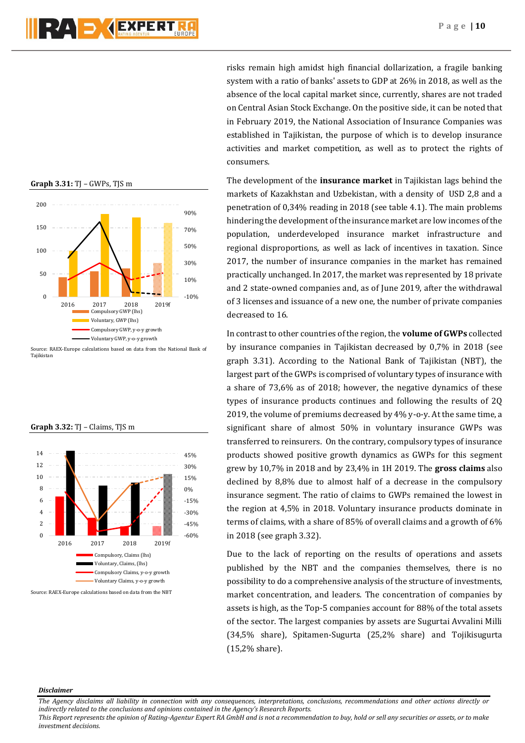



Source: RAEX-Europe calculations based on data from the National Bank of Tajikistan





Source: RAEX-Europe calculations based on data from the NBT

risks remain high amidst high financial dollarization, a fragile banking system with a ratio of banks' assets to GDP at 26% in 2018, as well as the absence of the local capital market since, currently, shares are not traded on Central Asian Stock Exchange. On the positive side, it can be noted that in February 2019, the National Association of Insurance Companies was established in Tajikistan, the purpose of which is to develop insurance activities and market competition, as well as to protect the rights of consumers.

The development of the **insurance market** in Tajikistan lags behind the markets of Kazakhstan and Uzbekistan, with a density of USD 2,8 and a penetration of 0,34% reading in 2018 (see table 4.1). The main problems hindering the development of the insurance market are low incomes of the population, underdeveloped insurance market infrastructure and regional disproportions, as well as lack of incentives in taxation. Since 2017, the number of insurance companies in the market has remained practically unchanged. In 2017, the market was represented by 18 private and 2 state-owned companies and, as of June 2019, after the withdrawal of 3 licenses and issuance of a new one, the number of private companies decreased to 16.

In contrast to other countries of the region, the **volume of GWPs** collected by insurance companies in Tajikistan decreased by 0,7% in 2018 (see graph 3.31). According to the National Bank of Tajikistan (NBT), the largest part of the GWPs is comprised of voluntary types of insurance with a share of 73,6% as of 2018; however, the negative dynamics of these types of insurance products continues and following the results of 2Q 2019, the volume of premiums decreased by 4% y-o-y. At the same time, a significant share of almost 50% in voluntary insurance GWPs was transferred to reinsurers. On the contrary, compulsory types of insurance products showed positive growth dynamics as GWPs for this segment grew by 10,7% in 2018 and by 23,4% in 1H 2019. The **gross claims** also declined by 8,8% due to almost half of a decrease in the compulsory insurance segment. The ratio of claims to GWPs remained the lowest in the region at 4,5% in 2018. Voluntary insurance products dominate in terms of claims, with a share of 85% of overall claims and a growth of 6% in 2018 (see graph 3.32).

Due to the lack of reporting on the results of operations and assets published by the NBT and the companies themselves, there is no possibility to do a comprehensive analysis of the structure of investments, market concentration, and leaders. The concentration of companies by assets is high, as the Top-5 companies account for 88% of the total assets of the sector. The largest companies by assets are Sugurtai Avvalini Milli (34,5% share), Spitamen-Sugurta (25,2% share) and Tojikisugurta (15,2% share).

#### *Disclaimer*

*The Agency disclaims all liability in connection with any consequences, interpretations, conclusions, recommendations and other actions directly or indirectly related to the conclusions and opinions contained in the Agency's Research Reports.*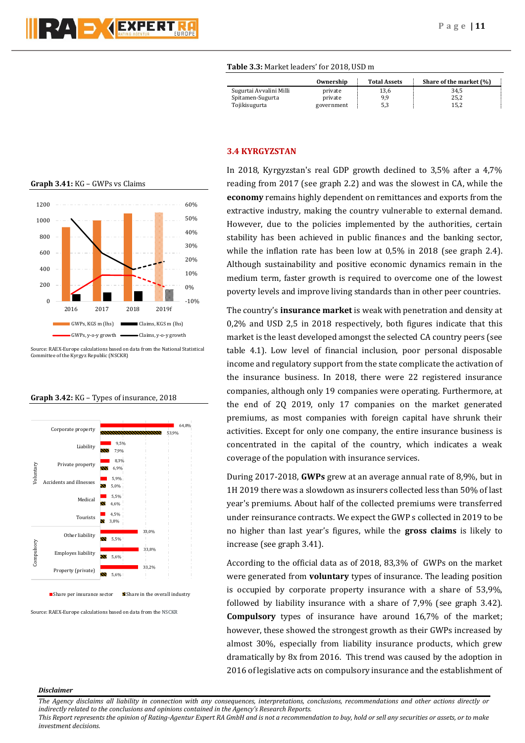

## **Table 3.3:** Market leaders' for 2018, USD m

|                         | Ownership  | <b>Total Assets</b> | Share of the market (%) |
|-------------------------|------------|---------------------|-------------------------|
| Sugurtai Avvalini Milli | private    | 13,6                | 34.5                    |
| Spitamen-Sugurta        | private    | 9.9                 | 25,2                    |
| Tojikisugurta           | government | 5,3                 | 15.2                    |

## **Graph 3.41:** KG – GWPs vs Claims



Source: RAEX-Europe calculations based on data from the National Statistical Committee of the Kyrgyz Republic (NSCKR)

#### **Graph 3.42:** KG – Types of insurance, 2018



 $\blacksquare$  Share per insurance sector  $\blacksquare$  Share in the overall industry

Source: RAEX-Europe calculations based on data from the NSCKR

## **3.4 KYRGYZSTAN**

In 2018, Kyrgyzstan's real GDP growth declined to 3,5% after a 4,7% reading from 2017 (see graph 2.2) and was the slowest in CA, while the **economy** remains highly dependent on remittances and exports from the extractive industry, making the country vulnerable to external demand. However, due to the policies implemented by the authorities, certain stability has been achieved in public finances and the banking sector, while the inflation rate has been low at 0,5% in 2018 (see graph 2.4). Although sustainability and positive economic dynamics remain in the medium term, faster growth is required to overcome one of the lowest poverty levels and improve living standards than in other peer countries.

The country's **insurance market** is weak with penetration and density at 0,2% and USD 2,5 in 2018 respectively, both figures indicate that this market is the least developed amongst the selected CA country peers (see table 4.1). Low level of financial inclusion, poor personal disposable income and regulatory support from the state complicate the activation of the insurance business. In 2018, there were 22 registered insurance companies, although only 19 companies were operating. Furthermore, at the end of 2Q 2019, only 17 companies on the market generated premiums, as most companies with foreign capital have shrunk their activities. Except for only one company, the entire insurance business is concentrated in the capital of the country, which indicates a weak coverage of the population with insurance services.

During 2017-2018, **GWPs** grew at an average annual rate of 8,9%, but in 1H 2019 there was a slowdown as insurers collected less than 50% of last year's premiums. About half of the collected premiums were transferred under reinsurance contracts. We expect the GWP s collected in 2019 to be no higher than last year's figures, while the **gross claims** is likely to increase (see graph 3.41).

According to the official data as of 2018, 83,3% of GWPs on the market were generated from **voluntary** types of insurance. The leading position is occupied by corporate property insurance with a share of 53,9%, followed by liability insurance with a share of 7,9% (see graph 3.42). **Compulsory** types of insurance have around 16,7% of the market; however, these showed the strongest growth as their GWPs increased by almost 30%, especially from liability insurance products, which grew dramatically by 8x from 2016. This trend was caused by the adoption in 2016 of legislative acts on compulsory insurance and the establishment of

#### *Disclaimer*

*The Agency disclaims all liability in connection with any consequences, interpretations, conclusions, recommendations and other actions directly or indirectly related to the conclusions and opinions contained in the Agency's Research Reports.*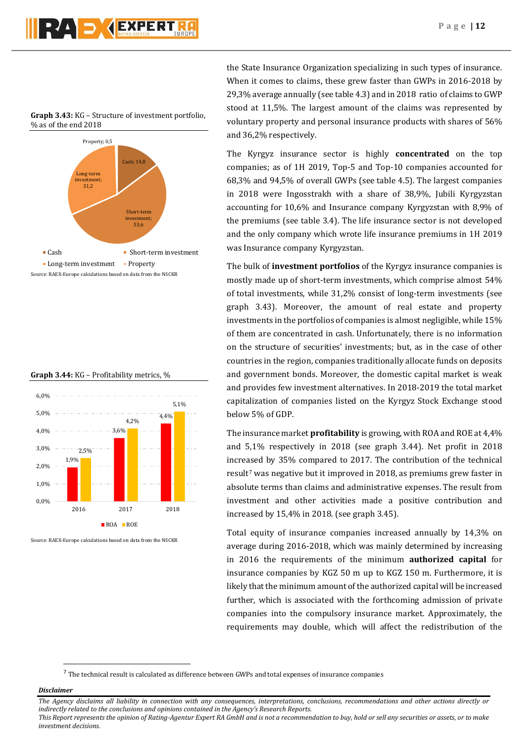

**Graph 3.43:** KG – Structure of investment portfolio, % as of the end 2018







Source: RAEX-Europe calculations based on data from the NSCKR

the State Insurance Organization specializing in such types of insurance. When it comes to claims, these grew faster than GWPs in 2016-2018 by 29,3% average annually (see table 4.3) and in 2018 ratio of claims to GWP stood at 11,5%. The largest amount of the claims was represented by voluntary property and personal insurance products with shares of 56% and 36,2% respectively.

The Kyrgyz insurance sector is highly **concentrated** on the top companies; as of 1H 2019, Top-5 and Top-10 companies accounted for 68,3% and 94,5% of overall GWPs (see table 4.5). The largest companies in 2018 were Ingosstrakh with a share of 38,9%, Jubili Kyrgyzstan accounting for 10,6% and Insurance company Kyrgyzstan with 8,9% of the premiums (see table 3.4). The life insurance sector is not developed and the only company which wrote life insurance premiums in 1H 2019 was Insurance company Kyrgyzstan.

The bulk of **investment portfolios** of the Kyrgyz insurance companies is mostly made up of short-term investments, which comprise almost 54% of total investments, while 31,2% consist of long-term investments (see graph 3.43). Moreover, the amount of real estate and property investments in the portfolios of companies is almost negligible, while 15% of them are concentrated in cash. Unfortunately, there is no information on the structure of securities' investments; but, as in the case of other countries in the region, companies traditionally allocate funds on deposits and government bonds. Moreover, the domestic capital market is weak and provides few investment alternatives. In 2018-2019 the total market capitalization of companies listed on the Kyrgyz Stock Exchange stood below 5% of GDP.

The insurance market **profitability** is growing, with ROA and ROE at 4,4% and 5,1% respectively in 2018 (see graph 3.44). Net profit in 2018 increased by 35% compared to 2017. The contribution of the technical result<sup>7</sup> was negative but it improved in 2018, as premiums grew faster in absolute terms than claims and administrative expenses. The result from investment and other activities made a positive contribution and increased by 15,4% in 2018. (see graph 3.45).

Total equity of insurance companies increased annually by 14,3% on average during 2016-2018, which was mainly determined by increasing in 2016 the requirements of the minimum **authorized capital** for insurance companies by KGZ 50 m up to KGZ 150 m. Furthermore, it is likely that the minimum amount of the authorized capital will be increased further, which is associated with the forthcoming admission of private companies into the compulsory insurance market. Approximately, the requirements may double, which will affect the redistribution of the

#### *Disclaimer*

**.** 

*The Agency disclaims all liability in connection with any consequences, interpretations, conclusions, recommendations and other actions directly or indirectly related to the conclusions and opinions contained in the Agency's Research Reports.*

<sup>&</sup>lt;sup>7</sup> The technical result is calculated as difference between GWPs and total expenses of insurance companies